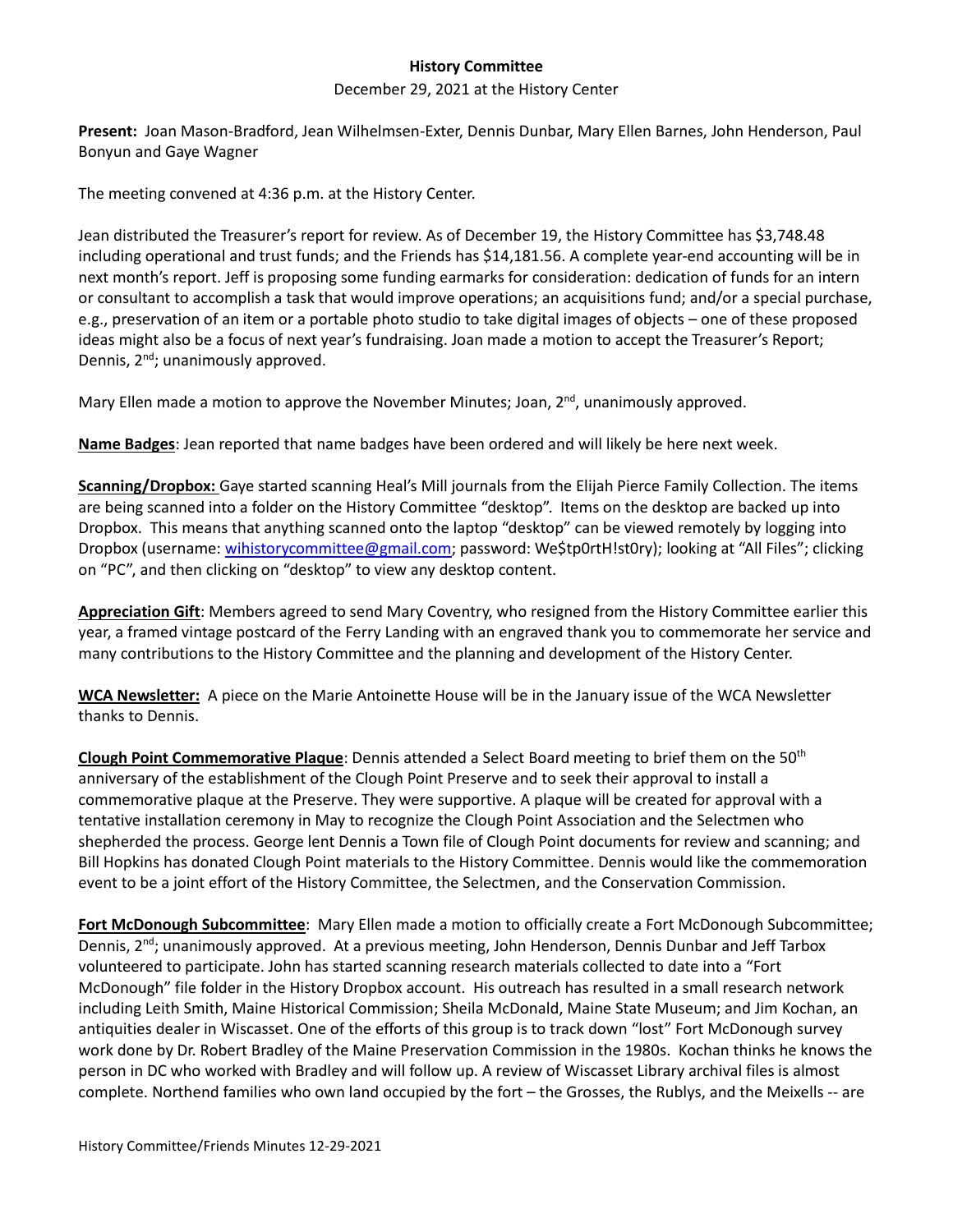## **History Committee**

## December 29, 2021 at the History Center

**Present:** Joan Mason-Bradford, Jean Wilhelmsen-Exter, Dennis Dunbar, Mary Ellen Barnes, John Henderson, Paul Bonyun and Gaye Wagner

The meeting convened at 4:36 p.m. at the History Center.

Jean distributed the Treasurer's report for review. As of December 19, the History Committee has \$3,748.48 including operational and trust funds; and the Friends has \$14,181.56. A complete year-end accounting will be in next month's report. Jeff is proposing some funding earmarks for consideration: dedication of funds for an intern or consultant to accomplish a task that would improve operations; an acquisitions fund; and/or a special purchase, e.g., preservation of an item or a portable photo studio to take digital images of objects – one of these proposed ideas might also be a focus of next year's fundraising. Joan made a motion to accept the Treasurer's Report; Dennis, 2<sup>nd</sup>; unanimously approved.

Mary Ellen made a motion to approve the November Minutes; Joan, 2<sup>nd</sup>, unanimously approved.

**Name Badges**: Jean reported that name badges have been ordered and will likely be here next week.

**Scanning/Dropbox:** Gaye started scanning Heal's Mill journals from the Elijah Pierce Family Collection. The items are being scanned into a folder on the History Committee "desktop". Items on the desktop are backed up into Dropbox. This means that anything scanned onto the laptop "desktop" can be viewed remotely by logging into Dropbox (username[: wihistorycommittee@gmail.com;](mailto:wihistorycommittee@gmail.com) password: We\$tp0rtH!st0ry); looking at "All Files"; clicking on "PC", and then clicking on "desktop" to view any desktop content.

**Appreciation Gift**: Members agreed to send Mary Coventry, who resigned from the History Committee earlier this year, a framed vintage postcard of the Ferry Landing with an engraved thank you to commemorate her service and many contributions to the History Committee and the planning and development of the History Center.

**WCA Newsletter:** A piece on the Marie Antoinette House will be in the January issue of the WCA Newsletter thanks to Dennis.

**Clough Point Commemorative Plaque**: Dennis attended a Select Board meeting to brief them on the 50th anniversary of the establishment of the Clough Point Preserve and to seek their approval to install a commemorative plaque at the Preserve. They were supportive. A plaque will be created for approval with a tentative installation ceremony in May to recognize the Clough Point Association and the Selectmen who shepherded the process. George lent Dennis a Town file of Clough Point documents for review and scanning; and Bill Hopkins has donated Clough Point materials to the History Committee. Dennis would like the commemoration event to be a joint effort of the History Committee, the Selectmen, and the Conservation Commission.

**Fort McDonough Subcommittee**: Mary Ellen made a motion to officially create a Fort McDonough Subcommittee; Dennis, 2<sup>nd</sup>; unanimously approved. At a previous meeting, John Henderson, Dennis Dunbar and Jeff Tarbox volunteered to participate. John has started scanning research materials collected to date into a "Fort McDonough" file folder in the History Dropbox account. His outreach has resulted in a small research network including Leith Smith, Maine Historical Commission; Sheila McDonald, Maine State Museum; and Jim Kochan, an antiquities dealer in Wiscasset. One of the efforts of this group is to track down "lost" Fort McDonough survey work done by Dr. Robert Bradley of the Maine Preservation Commission in the 1980s. Kochan thinks he knows the person in DC who worked with Bradley and will follow up. A review of Wiscasset Library archival files is almost complete. Northend families who own land occupied by the fort – the Grosses, the Rublys, and the Meixells -- are